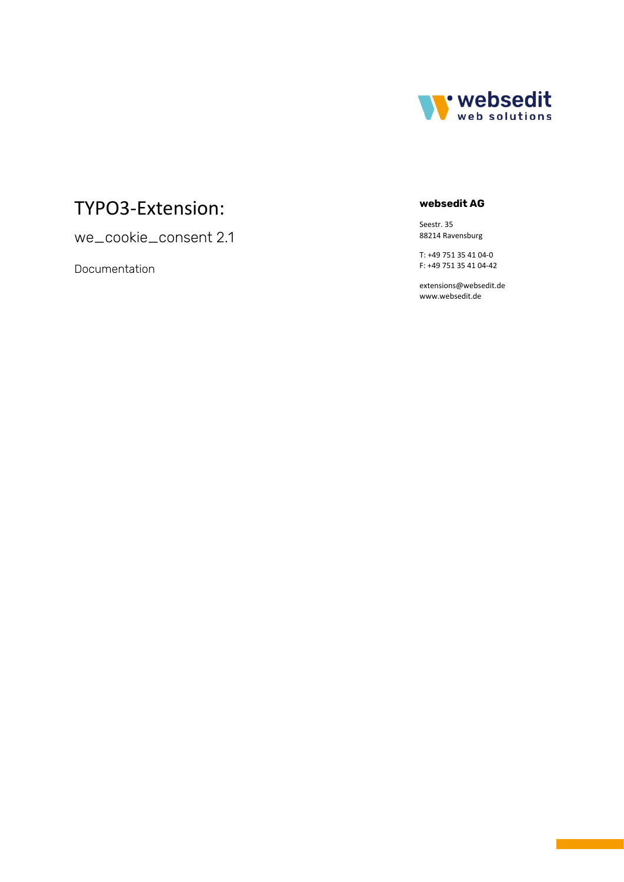

# TYPO3 -Extension:

we\_cookie\_consent 2. 1

Documentation

# **websedit AG**

Seestr. 35 88214 Ravensburg

T: +49 751 35 41 04-0 F: +49 751 35 41 04 -42

[extensions@websedit.de](mailto:extensions@websedit.de) www.websedit.de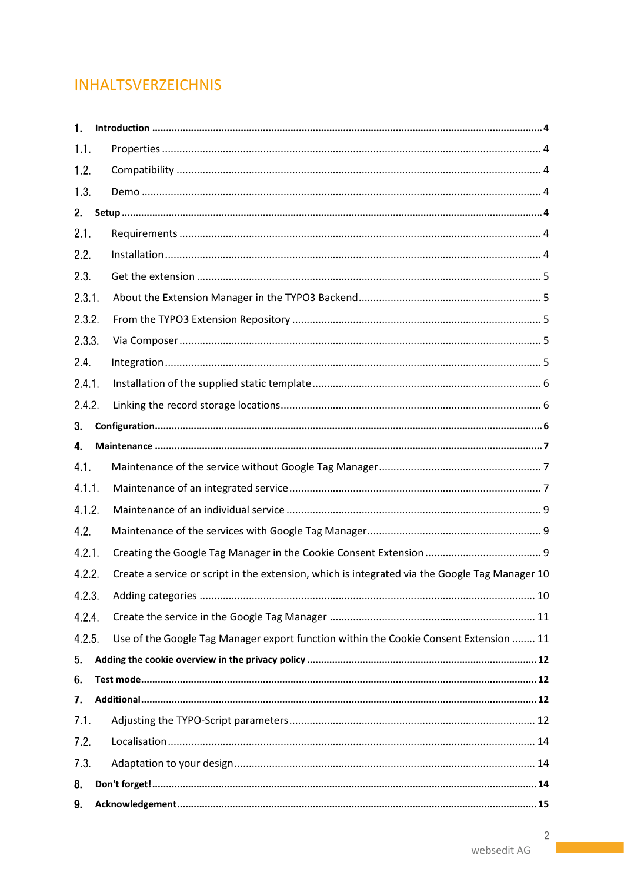# **INHALTSVERZEICHNIS**

| 1.     |                                                                                                |
|--------|------------------------------------------------------------------------------------------------|
| 1.1.   |                                                                                                |
| 1.2.   |                                                                                                |
| 1.3.   |                                                                                                |
| 2.     |                                                                                                |
| 2.1.   |                                                                                                |
| 2.2.   |                                                                                                |
| 2.3.   |                                                                                                |
| 2.3.1. |                                                                                                |
| 2.3.2. |                                                                                                |
| 2.3.3. |                                                                                                |
| 2.4.   |                                                                                                |
| 2.4.1. |                                                                                                |
| 2.4.2. |                                                                                                |
| 3.     |                                                                                                |
| 4.     |                                                                                                |
| 4.1.   |                                                                                                |
| 4.1.1. |                                                                                                |
| 4.1.2. |                                                                                                |
| 4.2.   |                                                                                                |
| 4.2.1. |                                                                                                |
| 4.2.2. | Create a service or script in the extension, which is integrated via the Google Tag Manager 10 |
| 4.2.3. |                                                                                                |
| 4.2.4. |                                                                                                |
| 4.2.5. | Use of the Google Tag Manager export function within the Cookie Consent Extension  11          |
| 5.     |                                                                                                |
| 6.     |                                                                                                |
| 7.     |                                                                                                |
| 7.1.   |                                                                                                |
| 7.2.   |                                                                                                |
| 7.3.   |                                                                                                |
| 8.     |                                                                                                |
| 9.     |                                                                                                |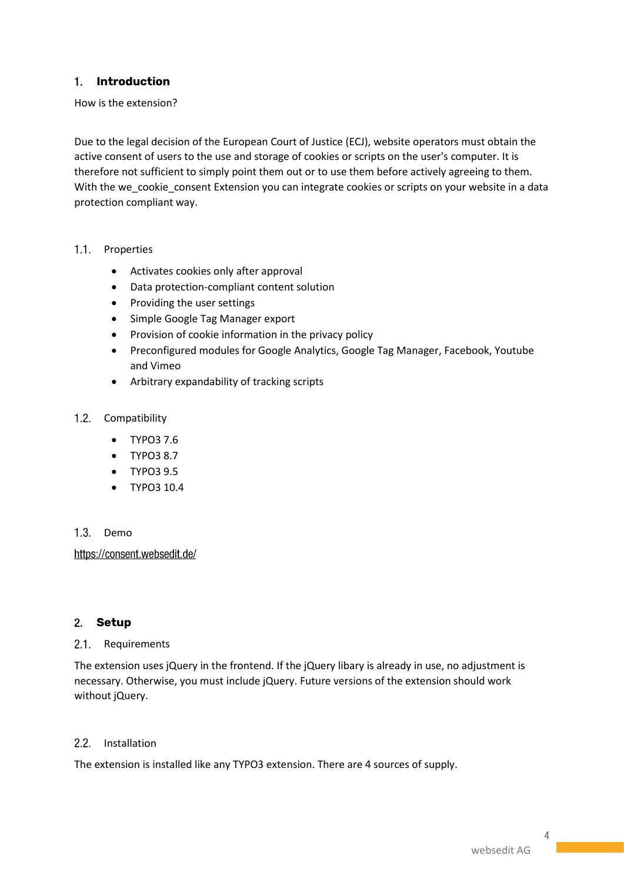# **Introduction**

How is the extension?

Due to the legal decision of the European Court of Justice (ECJ), website operators must obtain the active consent of users to the use and storage of cookies or scripts on the user's computer. It is therefore not sufficient to simply point them out or to use them before actively agreeing to them. With the we\_cookie\_consent Extension you can integrate cookies or scripts on your website in a data protection compliant way.

- 1.1. Properties
	- Activates cookies only after approval
	- Data protection-compliant content solution
	- Providing the user settings
	- Simple Google Tag Manager export
	- Provision of cookie information in the privacy policy
	- Preconfigured modules for Google Analytics, Google Tag Manager, Facebook, Youtube and Vimeo
	- Arbitrary expandability of tracking scripts
- 1.2. Compatibility
	- TYPO3 7.6
	- TYPO3 8.7
	- TYPO3 9.5
	- TYPO3 10.4

#### 1.3. Demo

https://consent.websedit.de/

# **Setup**

#### 2.1. Requirements

The extension uses jQuery in the frontend. If the jQuery libary is already in use, no adjustment is necessary. Otherwise, you must include jQuery. Future versions of the extension should work without jQuery.

# 2.2. Installation

The extension is installed like any TYPO3 extension. There are 4 sources of supply.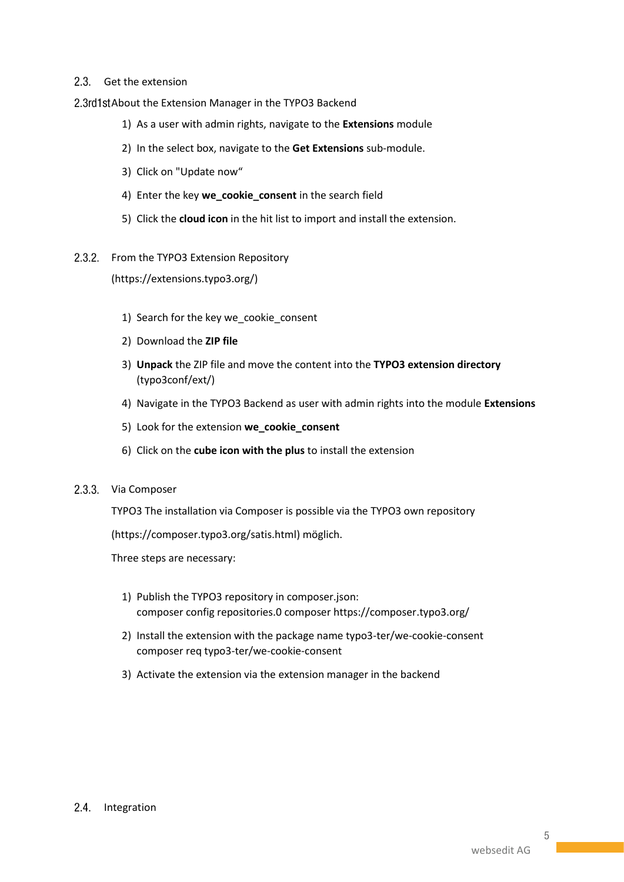### 2.3. Get the extension

2.3rd1stAbout the Extension Manager in the TYPO3 Backend

- 1) As a user with admin rights, navigate to the **Extensions** module
- 2) In the select box, navigate to the **Get Extensions** sub-module.
- 3) Click on "Update now"
- 4) Enter the key **we\_cookie\_consent** in the search field
- 5) Click the **cloud icon** in the hit list to import and install the extension.
- 2.3.2. From the TYPO3 Extension Repository

[\(https://extensions.typo3.org/\)](https://extensions.typo3.org/)

- 1) Search for the key we\_cookie\_consent
- 2) Download the **ZIP file**
- 3) **Unpack** the ZIP file and move the content into the **TYPO3 extension directory** (typo3conf/ext/)
- 4) Navigate in the TYPO3 Backend as user with admin rights into the module **Extensions**
- 5) Look for the extension **we\_cookie\_consent**
- 6) Click on the **cube icon with the plus** to install the extension

#### 2.3.3. Via Composer

TYPO3 The installation via Composer is possible via the TYPO3 own repository

[\(https://composer.typo3.org/satis.html\)](https://composer.typo3.org/satis.html) möglich.

Three steps are necessary:

- 1) Publish the TYPO3 repository in composer.json: composer config repositories.0 composer https://composer.typo3.org/
- 2) Install the extension with the package name typo3-ter/we-cookie-consent composer req typo3-ter/we-cookie-consent
- 3) Activate the extension via the extension manager in the backend

# 2.4. Integration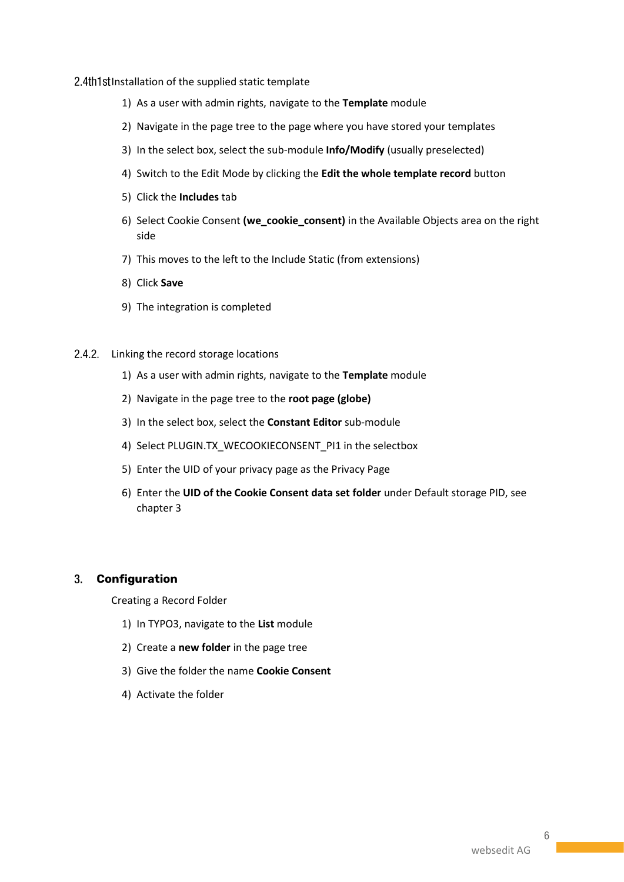2.4th1st Installation of the supplied static template

- 1) As a user with admin rights, navigate to the **Template** module
- 2) Navigate in the page tree to the page where you have stored your templates
- 3) In the select box, select the sub-module **Info/Modify** (usually preselected)
- 4) Switch to the Edit Mode by clicking the **Edit the whole template record** button
- 5) Click the **Includes** tab
- 6) Select Cookie Consent **(we\_cookie\_consent)** in the Available Objects area on the right side
- 7) This moves to the left to the Include Static (from extensions)
- 8) Click **Save**
- 9) The integration is completed
- 2.4.2. Linking the record storage locations
	- 1) As a user with admin rights, navigate to the **Template** module
	- 2) Navigate in the page tree to the **root page (globe)**
	- 3) In the select box, select the **Constant Editor** sub-module
	- 4) Select PLUGIN.TX\_WECOOKIECONSENT\_PI1 in the selectbox
	- 5) Enter the UID of your privacy page as the Privacy Page
	- 6) Enter the **UID of the Cookie Consent data set folder** under Default storage PID, see chapter 3

#### **Configuration**

Creating a Record Folder

- 1) In TYPO3, navigate to the **List** module
- 2) Create a **new folder** in the page tree
- 3) Give the folder the name **Cookie Consent**
- 4) Activate the folder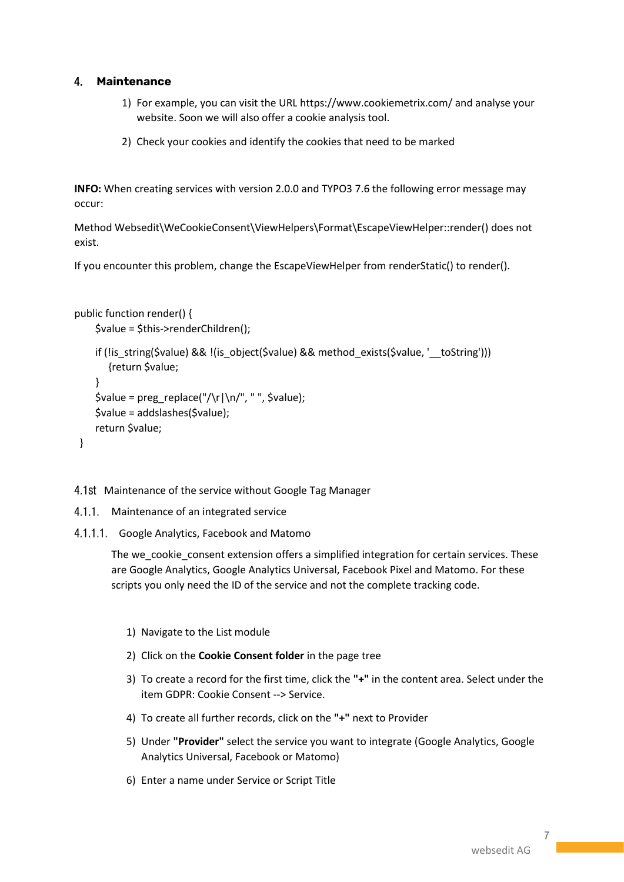# **Maintenance**

- 1) For example, you can visit the URL https://www.cookiemetrix.com/ and analyse your website. Soon we will also offer a cookie analysis tool.
- 2) Check your cookies and identify the cookies that need to be marked

**INFO:** When creating services with version 2.0.0 and TYPO3 7.6 the following error message may occur:

Method Websedit\WeCookieConsent\ViewHelpers\Format\EscapeViewHelper::render() does not exist.

If you encounter this problem, change the EscapeViewHelper from renderStatic() to render().

```
public function render() {
     $value = $this->renderChildren();
     if (!is_string($value) && !(is_object($value) && method_exists($value, '__toString')))
        {return $value;
     }
    $value = preg\_replace("\\r\\n/", "", $value); $value = addslashes($value);
     return $value;
  }
```
4.1st Maintenance of the service without Google Tag Manager

- 4.1.1. Maintenance of an integrated service
- 4.1.1.1. Google Analytics, Facebook and Matomo

The we\_cookie\_consent extension offers a simplified integration for certain services. These are Google Analytics, Google Analytics Universal, Facebook Pixel and Matomo. For these scripts you only need the ID of the service and not the complete tracking code.

- 1) Navigate to the List module
- 2) Click on the **Cookie Consent folder** in the page tree
- 3) To create a record for the first time, click the **"+"** in the content area. Select under the item GDPR: Cookie Consent --> Service.
- 4) To create all further records, click on the **"+"** next to Provider
- 5) Under **"Provider"** select the service you want to integrate (Google Analytics, Google Analytics Universal, Facebook or Matomo)
- 6) Enter a name under Service or Script Title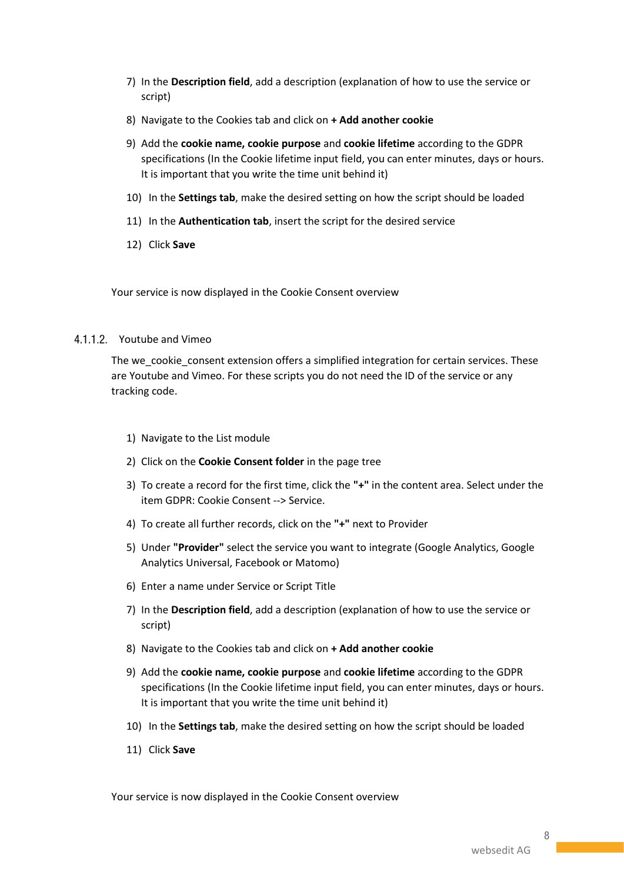- 7) In the **Description field**, add a description (explanation of how to use the service or script)
- 8) Navigate to the Cookies tab and click on **+ Add another cookie**
- 9) Add the **cookie name, cookie purpose** and **cookie lifetime** according to the GDPR specifications (In the Cookie lifetime input field, you can enter minutes, days or hours. It is important that you write the time unit behind it)
- 10) In the **Settings tab**, make the desired setting on how the script should be loaded
- 11) In the **Authentication tab**, insert the script for the desired service
- 12) Click **Save**

Your service is now displayed in the Cookie Consent overview

#### 4.1.1.2. Youtube and Vimeo

The we\_cookie\_consent extension offers a simplified integration for certain services. These are Youtube and Vimeo. For these scripts you do not need the ID of the service or any tracking code.

- 1) Navigate to the List module
- 2) Click on the **Cookie Consent folder** in the page tree
- 3) To create a record for the first time, click the **"+"** in the content area. Select under the item GDPR: Cookie Consent --> Service.
- 4) To create all further records, click on the **"+"** next to Provider
- 5) Under **"Provider"** select the service you want to integrate (Google Analytics, Google Analytics Universal, Facebook or Matomo)
- 6) Enter a name under Service or Script Title
- 7) In the **Description field**, add a description (explanation of how to use the service or script)
- 8) Navigate to the Cookies tab and click on **+ Add another cookie**
- 9) Add the **cookie name, cookie purpose** and **cookie lifetime** according to the GDPR specifications (In the Cookie lifetime input field, you can enter minutes, days or hours. It is important that you write the time unit behind it)
- 10) In the **Settings tab**, make the desired setting on how the script should be loaded
- 11) Click **Save**

Your service is now displayed in the Cookie Consent overview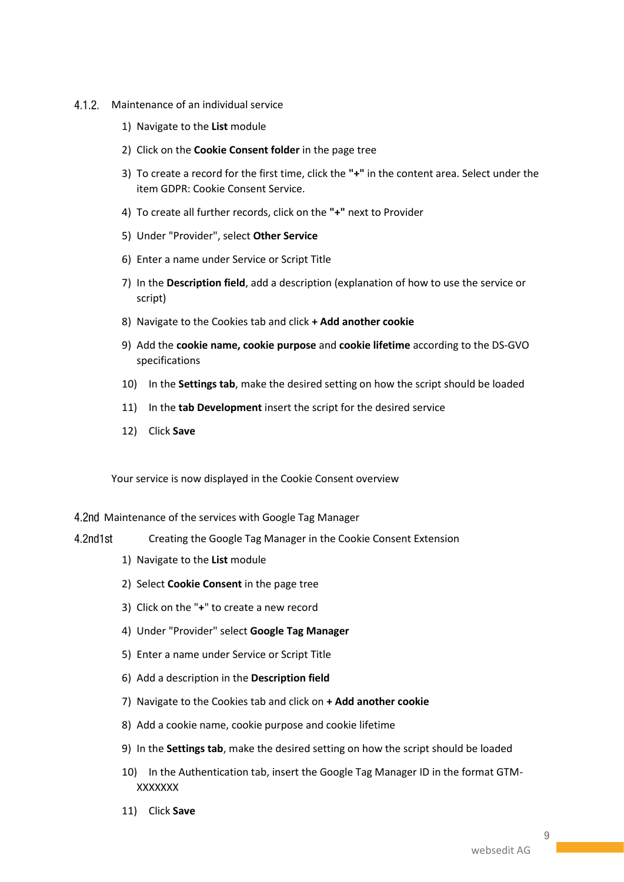- 4.1.2. Maintenance of an individual service
	- 1) Navigate to the **List** module
	- 2) Click on the **Cookie Consent folder** in the page tree
	- 3) To create a record for the first time, click the **"+"** in the content area. Select under the item GDPR: Cookie Consent Service.
	- 4) To create all further records, click on the **"+"** next to Provider
	- 5) Under "Provider", select **Other Service**
	- 6) Enter a name under Service or Script Title
	- 7) In the **Description field**, add a description (explanation of how to use the service or script)
	- 8) Navigate to the Cookies tab and click **+ Add another cookie**
	- 9) Add the **cookie name, cookie purpose** and **cookie lifetime** according to the DS-GVO specifications
	- 10) In the **Settings tab**, make the desired setting on how the script should be loaded
	- 11) In the **tab Development** insert the script for the desired service
	- 12) Click **Save**

Your service is now displayed in the Cookie Consent overview

- 4.2nd Maintenance of the services with Google Tag Manager
- $4.2$ nd $1$ st
	- Creating the Google Tag Manager in the Cookie Consent Extension
		- 1) Navigate to the **List** module
		- 2) Select **Cookie Consent** in the page tree
		- 3) Click on the "**+**" to create a new record
		- 4) Under "Provider" select **Google Tag Manager**
		- 5) Enter a name under Service or Script Title
		- 6) Add a description in the **Description field**
		- 7) Navigate to the Cookies tab and click on **+ Add another cookie**
		- 8) Add a cookie name, cookie purpose and cookie lifetime
		- 9) In the **Settings tab**, make the desired setting on how the script should be loaded
		- 10) In the Authentication tab, insert the Google Tag Manager ID in the format GTM-**XXXXXXX**
		- 11) Click **Save**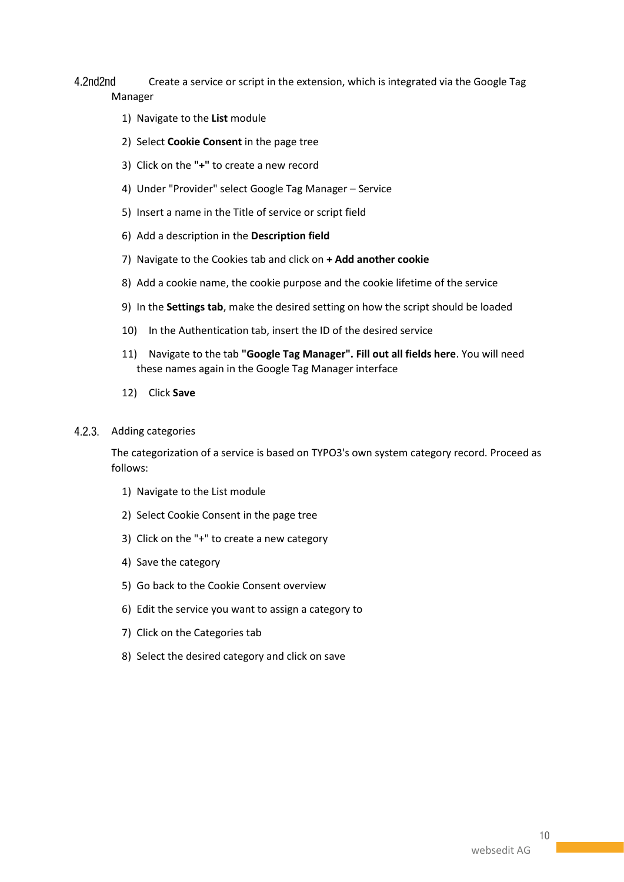4.2nd2nd Create a service or script in the extension, which is integrated via the Google Tag Manager

- 1) Navigate to the **List** module
- 2) Select **Cookie Consent** in the page tree
- 3) Click on the **"+"** to create a new record
- 4) Under "Provider" select Google Tag Manager Service
- 5) Insert a name in the Title of service or script field
- 6) Add a description in the **Description field**
- 7) Navigate to the Cookies tab and click on **+ Add another cookie**
- 8) Add a cookie name, the cookie purpose and the cookie lifetime of the service
- 9) In the **Settings tab**, make the desired setting on how the script should be loaded
- 10) In the Authentication tab, insert the ID of the desired service
- 11) Navigate to the tab **"Google Tag Manager". Fill out all fields here**. You will need these names again in the Google Tag Manager interface
- 12) Click **Save**

#### 4.2.3. Adding categories

The categorization of a service is based on TYPO3's own system category record. Proceed as follows:

- 1) Navigate to the List module
- 2) Select Cookie Consent in the page tree
- 3) Click on the "+" to create a new category
- 4) Save the category
- 5) Go back to the Cookie Consent overview
- 6) Edit the service you want to assign a category to
- 7) Click on the Categories tab
- 8) Select the desired category and click on save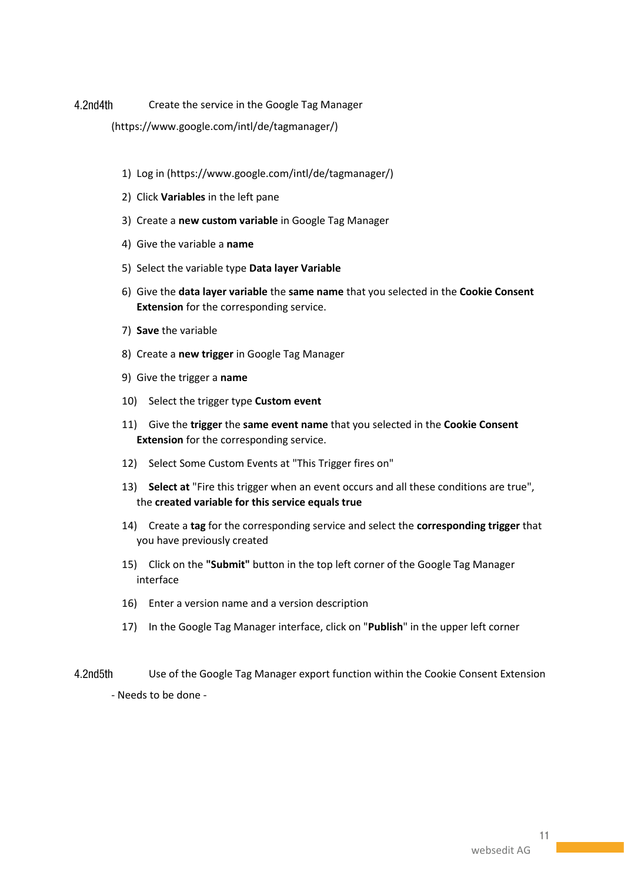4.2nd4th Create the service in the Google Tag Manager

[\(https://www.google.com/intl/de/tagmanager/\)](https://www.google.com/intl/de/tagmanager/)

- 1) Log in (https://www.google.com/intl/de/tagmanager/)
- 2) Click **Variables** in the left pane
- 3) Create a **new custom variable** in Google Tag Manager
- 4) Give the variable a **name**
- 5) Select the variable type **Data layer Variable**
- 6) Give the **data layer variable** the **same name** that you selected in the **Cookie Consent Extension** for the corresponding service.
- 7) **Save** the variable
- 8) Create a **new trigger** in Google Tag Manager
- 9) Give the trigger a **name**
- 10) Select the trigger type **Custom event**
- 11) Give the **trigger** the **same event name** that you selected in the **Cookie Consent Extension** for the corresponding service.
- 12) Select Some Custom Events at "This Trigger fires on"
- 13) **Select at** "Fire this trigger when an event occurs and all these conditions are true", the **created variable for this service equals true**
- 14) Create a **tag** for the corresponding service and select the **corresponding trigger** that you have previously created
- 15) Click on the **"Submit"** button in the top left corner of the Google Tag Manager interface
- 16) Enter a version name and a version description
- 17) In the Google Tag Manager interface, click on "**Publish**" in the upper left corner
- 4.2nd5th Use of the Google Tag Manager export function within the Cookie Consent Extension - Needs to be done -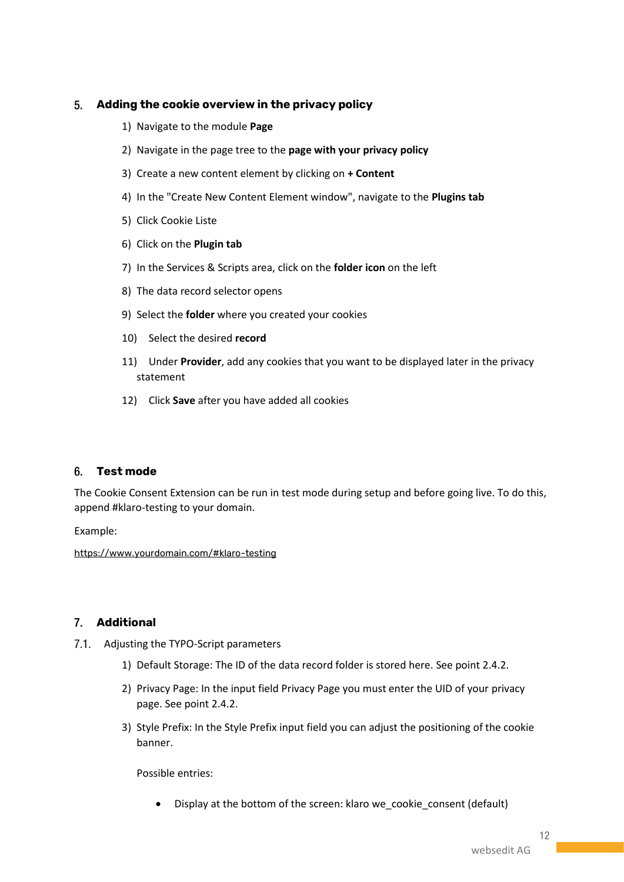# **Adding the cookie overview in the privacy policy**

- 1) Navigate to the module **Page**
- 2) Navigate in the page tree to the **page with your privacy policy**
- 3) Create a new content element by clicking on **+ Content**
- 4) In the "Create New Content Element window", navigate to the **Plugins tab**
- 5) Click Cookie Liste
- 6) Click on the **Plugin tab**
- 7) In the Services & Scripts area, click on the **folder icon** on the left
- 8) The data record selector opens
- 9) Select the **folder** where you created your cookies
- 10) Select the desired **record**
- 11) Under **Provider**, add any cookies that you want to be displayed later in the privacy statement
- 12) Click **Save** after you have added all cookies

# **Test mode**

The Cookie Consent Extension can be run in test mode during setup and before going live. To do this, append #klaro-testing to your domain.

Example:

<https://www.yourdomain.com/#klaro-testing>

# **Additional**

- 7.1. Adjusting the TYPO-Script parameters
	- 1) Default Storage: The ID of the data record folder is stored here. See point 2.4.2.
	- 2) Privacy Page: In the input field Privacy Page you must enter the UID of your privacy page. See point 2.4.2.
	- 3) Style Prefix: In the Style Prefix input field you can adjust the positioning of the cookie banner.

Possible entries:

• Display at the bottom of the screen: klaro we\_cookie\_consent (default)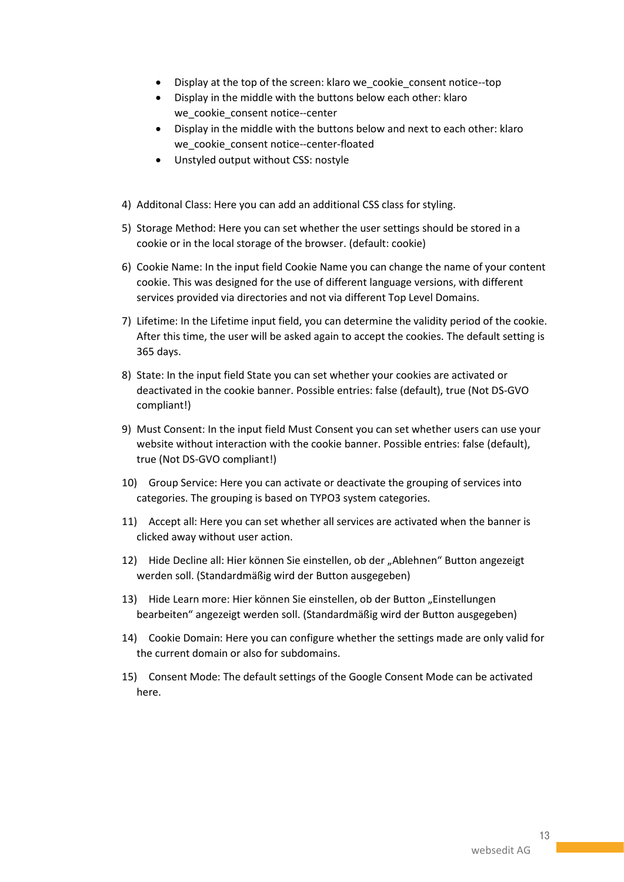- Display at the top of the screen: klaro we\_cookie\_consent notice--top
- Display in the middle with the buttons below each other: klaro we\_cookie\_consent notice--center
- Display in the middle with the buttons below and next to each other: klaro we cookie consent notice--center-floated
- Unstyled output without CSS: nostyle
- 4) Additonal Class: Here you can add an additional CSS class for styling.
- 5) Storage Method: Here you can set whether the user settings should be stored in a cookie or in the local storage of the browser. (default: cookie)
- 6) Cookie Name: In the input field Cookie Name you can change the name of your content cookie. This was designed for the use of different language versions, with different services provided via directories and not via different Top Level Domains.
- 7) Lifetime: In the Lifetime input field, you can determine the validity period of the cookie. After this time, the user will be asked again to accept the cookies. The default setting is 365 days.
- 8) State: In the input field State you can set whether your cookies are activated or deactivated in the cookie banner. Possible entries: false (default), true (Not DS-GVO compliant!)
- 9) Must Consent: In the input field Must Consent you can set whether users can use your website without interaction with the cookie banner. Possible entries: false (default), true (Not DS-GVO compliant!)
- 10) Group Service: Here you can activate or deactivate the grouping of services into categories. The grouping is based on TYPO3 system categories.
- 11) Accept all: Here you can set whether all services are activated when the banner is clicked away without user action.
- 12) Hide Decline all: Hier können Sie einstellen, ob der "Ablehnen" Button angezeigt werden soll. (Standardmäßig wird der Button ausgegeben)
- 13) Hide Learn more: Hier können Sie einstellen, ob der Button "Einstellungen bearbeiten" angezeigt werden soll. (Standardmäßig wird der Button ausgegeben)
- 14) Cookie Domain: Here you can configure whether the settings made are only valid for the current domain or also for subdomains.
- 15) Consent Mode: The default settings of the Google Consent Mode can be activated here.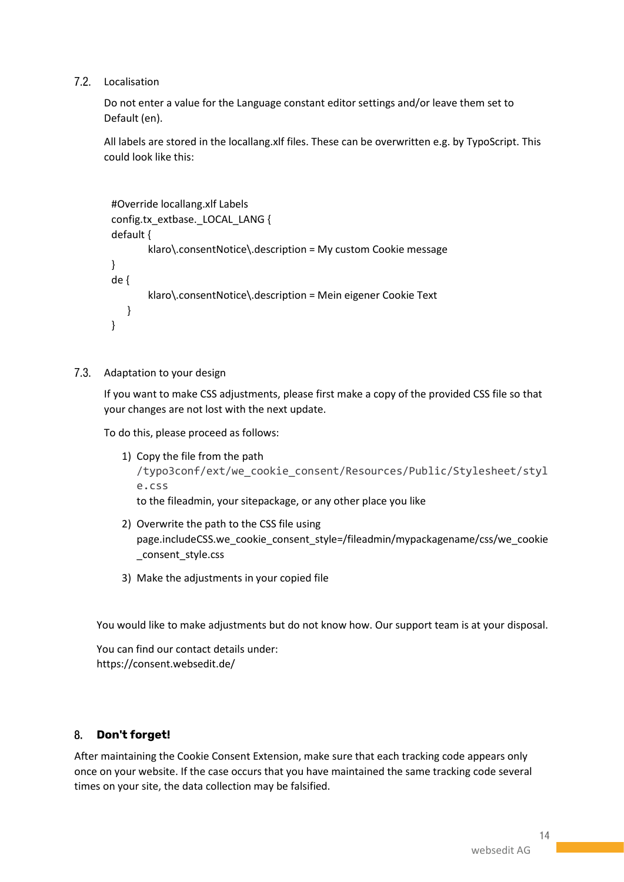7.2. Localisation

Do not enter a value for the Language constant editor settings and/or leave them set to Default (en).

All labels are stored in the locallang.xlf files. These can be overwritten e.g. by TypoScript. This could look like this:

```
#Override locallang.xlf Labels
config.tx_extbase._LOCAL_LANG {
default {
        klaro\.consentNotice\.description = My custom Cookie message
}
de {
        klaro\.consentNotice\.description = Mein eigener Cookie Text
    }
}
```
### 7.3. Adaptation to your design

If you want to make CSS adjustments, please first make a copy of the provided CSS file so that your changes are not lost with the next update.

To do this, please proceed as follows:

- 1) Copy the file from the path /typo3conf/ext/we\_cookie\_consent/Resources/Public/Stylesheet/styl e.css to the fileadmin, your sitepackage, or any other place you like
- 2) Overwrite the path to the CSS file using page.includeCSS.we\_cookie\_consent\_style=/fileadmin/mypackagename/css/we\_cookie \_consent\_style.css
- 3) Make the adjustments in your copied file

You would like to make adjustments but do not know how. Our support team is at your disposal.

You can find our contact details under: https://consent.websedit.de/

#### 8. **Don't forget!**

After maintaining the Cookie Consent Extension, make sure that each tracking code appears only once on your website. If the case occurs that you have maintained the same tracking code several times on your site, the data collection may be falsified.